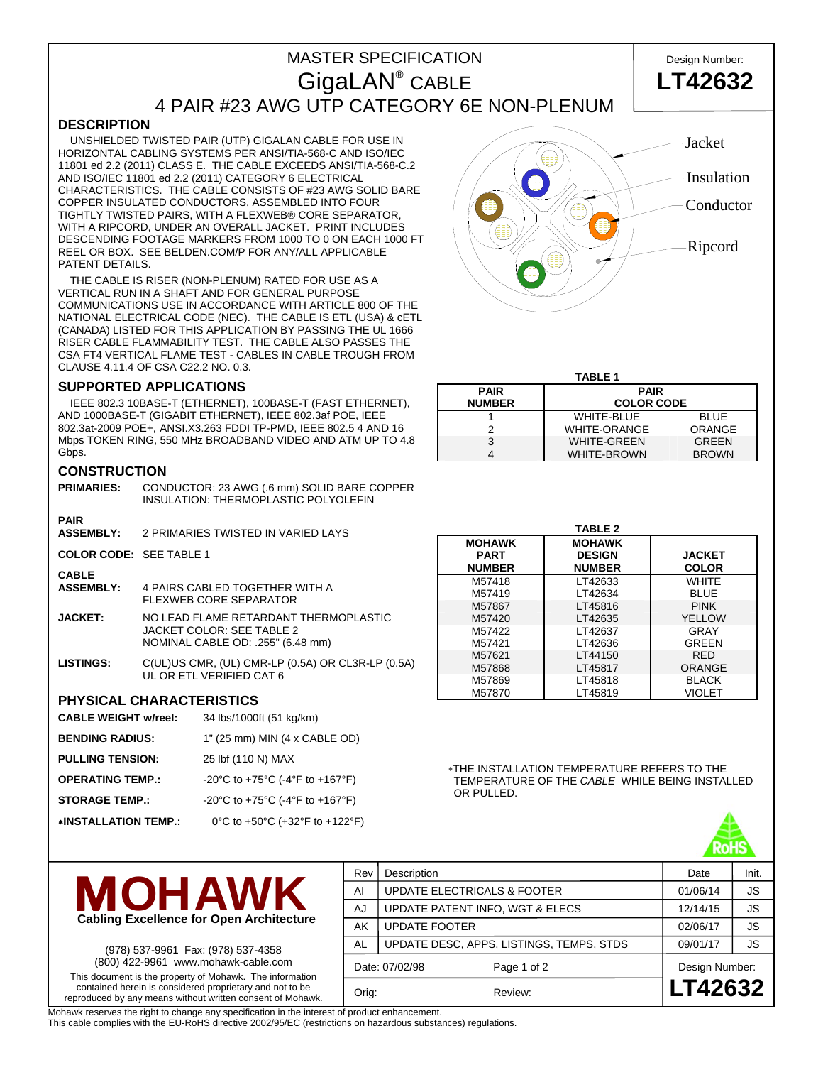# MASTER SPECIFICATION **Design Number:** GigaLAN<sup>®</sup> CABLE 4 PAIR #23 AWG UTP CATEGORY 6E NON-PLENUM



## **DESCRIPTION**

 UNSHIELDED TWISTED PAIR (UTP) GIGALAN CABLE FOR USE IN HORIZONTAL CABLING SYSTEMS PER ANSI/TIA-568-C AND ISO/IEC 11801 ed 2.2 (2011) CLASS E. THE CABLE EXCEEDS ANSI/TIA-568-C.2 AND ISO/IEC 11801 ed 2.2 (2011) CATEGORY 6 ELECTRICAL CHARACTERISTICS. THE CABLE CONSISTS OF #23 AWG SOLID BARE COPPER INSULATED CONDUCTORS, ASSEMBLED INTO FOUR TIGHTLY TWISTED PAIRS, WITH A FLEXWEB® CORE SEPARATOR, WITH A RIPCORD, UNDER AN OVERALL JACKET. PRINT INCLUDES DESCENDING FOOTAGE MARKERS FROM 1000 TO 0 ON EACH 1000 FT REEL OR BOX. SEE BELDEN.COM/P FOR ANY/ALL APPLICABLE PATENT DETAILS.

 THE CABLE IS RISER (NON-PLENUM) RATED FOR USE AS A VERTICAL RUN IN A SHAFT AND FOR GENERAL PURPOSE COMMUNICATIONS USE IN ACCORDANCE WITH ARTICLE 800 OF THE NATIONAL ELECTRICAL CODE (NEC). THE CABLE IS ETL (USA) & cETL (CANADA) LISTED FOR THIS APPLICATION BY PASSING THE UL 1666 RISER CABLE FLAMMABILITY TEST. THE CABLE ALSO PASSES THE CSA FT4 VERTICAL FLAME TEST - CABLES IN CABLE TROUGH FROM CLAUSE 4.11.4 OF CSA C22.2 NO. 0.3.

#### **SUPPORTED APPLICATIONS**

 IEEE 802.3 10BASE-T (ETHERNET), 100BASE-T (FAST ETHERNET), AND 1000BASE-T (GIGABIT ETHERNET), IEEE 802.3af POE, IEEE 802.3at-2009 POE+, ANSI.X3.263 FDDI TP-PMD, IEEE 802.5 4 AND 16 Mbps TOKEN RING, 550 MHz BROADBAND VIDEO AND ATM UP TO 4.8 Gbps.

#### **CONSTRUCTION**

| <b>PRIMARIES:</b>                | CONDUCTOR: 23 AWG (.6 mm) SOLID BARE COPPER<br>INSULATION: THERMOPLASTIC POLYOLEFIN                     |
|----------------------------------|---------------------------------------------------------------------------------------------------------|
| <b>PAIR</b>                      |                                                                                                         |
| <b>ASSEMBLY:</b>                 | 2 PRIMARIES TWISTED IN VARIED LAYS                                                                      |
| COLOR CODE: SFF TABLE 1          |                                                                                                         |
| <b>CABLE</b><br><b>ASSEMBLY:</b> | 4 PAIRS CABLED TOGETHER WITH A<br>FLEXWEB CORE SEPARATOR                                                |
| <b>JACKET:</b>                   | NO LEAD FLAME RETARDANT THERMOPLASTIC<br>JACKET COLOR: SEE TABLE 2<br>NOMINAL CABLE OD: .255" (6.48 mm) |

**LISTINGS:** C(UL)US CMR, (UL) CMR-LP (0.5A) OR CL3R-LP (0.5A) UL OR ETL VERIFIED CAT 6

### **PHYSICAL CHARACTERISTICS**

- **CABLE WEIGHT w/reel:** 34 lbs/1000ft (51 kg/km)
- **BENDING RADIUS:** 1" (25 mm) MIN (4 x CABLE OD)
- **PULLING TENSION:** 25 lbf (110 N) MAX
- **OPERATING TEMP.:** -20°C to +75°C (-4°F to +167°F)
- **STORAGE TEMP.:** -20°C to +75°C (-4°F to +167°F)

∗**INSTALLATION TEMP.:** 0°C to +50°C (+32°F to +122°F)



## **TABLE 1**

| <b>PAIR</b>   | <b>PAIR</b>         |               |  |  |  |  |
|---------------|---------------------|---------------|--|--|--|--|
| <b>NUMBER</b> | <b>COLOR CODE</b>   |               |  |  |  |  |
|               | <b>WHITE-BLUE</b>   | <b>BLUE</b>   |  |  |  |  |
|               | <b>WHITE-ORANGE</b> | <b>ORANGE</b> |  |  |  |  |
|               | <b>WHITE-GREEN</b>  | <b>GREEN</b>  |  |  |  |  |
|               | <b>WHITE-BROWN</b>  | <b>BROWN</b>  |  |  |  |  |

|               | <b>TABLE 2</b> |               |
|---------------|----------------|---------------|
| <b>MOHAWK</b> | <b>MOHAWK</b>  |               |
| <b>PART</b>   | <b>DESIGN</b>  | <b>JACKET</b> |
| <b>NUMBER</b> | <b>NUMBER</b>  | <b>COLOR</b>  |
| M57418        | LT42633        | WHITE         |
| M57419        | LT42634        | <b>BLUE</b>   |
| M57867        | LT45816        | <b>PINK</b>   |
| M57420        | LT42635        | YELLOW        |
| M57422        | LT42637        | GRAY          |
| M57421        | LT42636        | GREEN         |
| M57621        | LT44150        | <b>RFD</b>    |
| M57868        | LT45817        | ORANGE        |
| M57869        | LT45818        | <b>BLACK</b>  |
| M57870        | LT45819        | VIOLET        |

∗THE INSTALLATION TEMPERATURE REFERS TO THE TEMPERATURE OF THE *CABLE* WHILE BEING INSTALLED OR PULLED.





(978) 537-9961 Fax: (978) 537-4358 (800) 422-9961 www.mohawk-cable.com This document is the property of Mohawk. The information contained herein is considered proprietary and not to be reproduced by any means without written consent of Mohawk.

| Rev   | Description                              | Date           | Init.                     |
|-------|------------------------------------------|----------------|---------------------------|
| AI    | <b>UPDATE ELECTRICALS &amp; FOOTER</b>   | 01/06/14       | <b>JS</b>                 |
| AJ    | UPDATE PATENT INFO, WGT & ELECS          | 12/14/15       | <b>JS</b>                 |
| AK    | <b>UPDATE FOOTER</b>                     | 02/06/17       | <b>JS</b>                 |
| AL    | UPDATE DESC, APPS, LISTINGS, TEMPS, STDS | 09/01/17       | <b>JS</b>                 |
|       | Page 1 of 2                              |                |                           |
| Orig: | Review:                                  |                |                           |
|       |                                          | Date: 07/02/98 | Design Number:<br>LT42632 |

Mohawk reserves the right to change any specification in the interest of product enhancement.

This cable complies with the EU-RoHS directive 2002/95/EC (restrictions on hazardous substances) regulations.